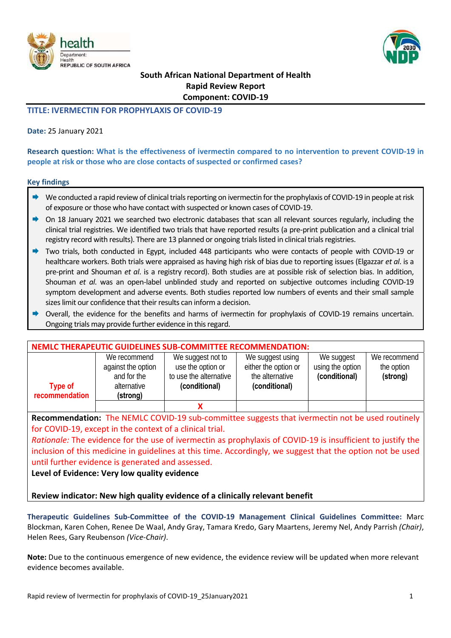



# **REPUBLIC OF SOUTH AFRICA**<br>South African National Department of Health **Rapid Review Report Component: COVID‐19**

## **TITLE: IVERMECTIN FOR PROPHYLAXIS OF COVID‐19**

### **Date:** 25 January 2021

**Research question: What is the effectiveness of ivermectin compared to no intervention to prevent COVID‐19 in people at risk or those who are close contacts of suspected or confirmed cases?** 

#### **Key findings**

- $\rightarrow$  We conducted a rapid review of clinical trials reporting on ivermectin for the prophylaxis of COVID-19 in people at risk of exposure or those who have contact with suspected or known cases of COVID‐19.
- On 18 January 2021 we searched two electronic databases that scan all relevant sources regularly, including the clinical trial registries. We identified two trials that have reported results (a pre‐print publication and a clinical trial registry record with results). There are 13 planned or ongoing trials listed in clinical trials registries.
- Two trials, both conducted in Egypt, included 448 participants who were contacts of people with COVID‐19 or healthcare workers. Both trials were appraised as having high risk of bias due to reporting issues (Elgazzar *et al*. is a pre‐print and Shouman *et al*. is a registry record). Both studies are at possible risk of selection bias. In addition, Shouman *et al.* was an open-label unblinded study and reported on subjective outcomes including COVID-19 symptom development and adverse events. Both studies reported low numbers of events and their small sample sizes limit our confidence that their results can inform a decision.
- Overall, the evidence for the benefits and harms of ivermectin for prophylaxis of COVID-19 remains uncertain. Ongoing trials may provide further evidence in this regard.

|                                  |                                                                              | NEMLC THERAPEUTIC GUIDELINES SUB-COMMITTEE RECOMMENDATION:                        |                                                                              |                                                 |                                        |
|----------------------------------|------------------------------------------------------------------------------|-----------------------------------------------------------------------------------|------------------------------------------------------------------------------|-------------------------------------------------|----------------------------------------|
| <b>Type of</b><br>recommendation | We recommend<br>against the option<br>and for the<br>alternative<br>(strong) | We suggest not to<br>use the option or<br>to use the alternative<br>(conditional) | We suggest using<br>either the option or<br>the alternative<br>(conditional) | We suggest<br>using the option<br>(conditional) | We recommend<br>the option<br>(strong) |
|                                  |                                                                              |                                                                                   |                                                                              |                                                 |                                        |

**Recommendation:**  The NEMLC COVID‐19 sub‐committee suggests that ivermectin not be used routinely for COVID‐19, except in the context of a clinical trial.

*Rationale:* The evidence for the use of ivermectin as prophylaxis of COVID‐19 is insufficient to justify the inclusion of this medicine in guidelines at this time. Accordingly, we suggest that the option not be used until further evidence is generated and assessed.

**Level of Evidence: Very low quality evidence** 

**Review indicator: New high quality evidence of a clinically relevant benefit** 

**Therapeutic Guidelines Sub‐Committee of the COVID‐19 Management Clinical Guidelines Committee:** Marc Blockman, Karen Cohen, Renee De Waal, Andy Gray, Tamara Kredo, Gary Maartens, Jeremy Nel, Andy Parrish *(Chair)*, Helen Rees, Gary Reubenson *(Vice‐Chair)*.

**Note:** Due to the continuous emergence of new evidence, the evidence review will be updated when more relevant evidence becomes available.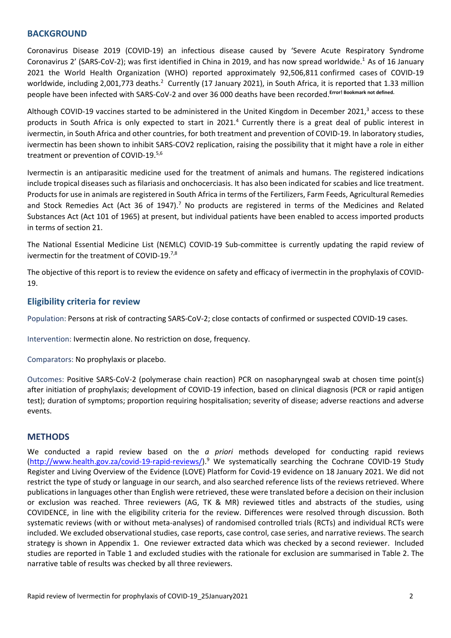## **BACKGROUND**

Coronavirus Disease 2019 (COVID‐19) an infectious disease caused by 'Severe Acute Respiratory Syndrome Coronavirus 2' (SARS‐CoV‐2); was first identified in China in 2019, and has now spread worldwide.1 As of 16 January 2021 the World Health Organization (WHO) reported approximately 92,506,811 confirmed cases of COVID‐19 worldwide, including 2,001,773 deaths.<sup>2</sup> Currently (17 January 2021), in South Africa, it is reported that 1.33 million people have been infected with SARS‐CoV‐2 and over 36 000 deaths have been recorded.**Error! Bookmark not defined.**

Although COVID-19 vaccines started to be administered in the United Kingdom in December 2021,<sup>3</sup> access to these products in South Africa is only expected to start in 2021.<sup>4</sup> Currently there is a great deal of public interest in ivermectin, in South Africa and other countries, for both treatment and prevention of COVID‐19. In laboratory studies, ivermectin has been shown to inhibit SARS‐COV2 replication, raising the possibility that it might have a role in either treatment or prevention of COVID-19.<sup>5,6</sup>

Ivermectin is an antiparasitic medicine used for the treatment of animals and humans. The registered indications include tropical diseases such as filariasis and onchocerciasis. It has also been indicated for scabies and lice treatment. Products for use in animals are registered in South Africa in terms of the Fertilizers, Farm Feeds, Agricultural Remedies and Stock Remedies Act (Act 36 of 1947).<sup>7</sup> No products are registered in terms of the Medicines and Related Substances Act (Act 101 of 1965) at present, but individual patients have been enabled to access imported products in terms of section 21.

The National Essential Medicine List (NEMLC) COVID-19 Sub-committee is currently updating the rapid review of ivermectin for the treatment of COVID-19.<sup>7,8</sup>

The objective of this report is to review the evidence on safety and efficacy of ivermectin in the prophylaxis of COVID‐ 19.

## **Eligibility criteria for review**

Population: Persons at risk of contracting SARS‐CoV‐2; close contacts of confirmed or suspected COVID‐19 cases.

Intervention: Ivermectin alone. No restriction on dose, frequency.

Comparators: No prophylaxis or placebo.

Outcomes: Positive SARS‐CoV‐2 (polymerase chain reaction) PCR on nasopharyngeal swab at chosen time point(s) after initiation of prophylaxis; development of COVID-19 infection, based on clinical diagnosis (PCR or rapid antigen test); duration of symptoms; proportion requiring hospitalisation; severity of disease; adverse reactions and adverse events.

## **METHODS**

We conducted a rapid review based on the *a priori* methods developed for conducting rapid reviews (http://www.health.gov.za/covid-19-rapid-reviews/).<sup>9</sup> We systematically searching the Cochrane COVID-19 Study Register and Living Overview of the Evidence (LOVE) Platform for Covid‐19 evidence on 18 January 2021. We did not restrict the type of study or language in our search, and also searched reference lists of the reviews retrieved. Where publications in languages other than English were retrieved, these were translated before a decision on their inclusion or exclusion was reached. Three reviewers (AG, TK & MR) reviewed titles and abstracts of the studies, using COVIDENCE, in line with the eligibility criteria for the review. Differences were resolved through discussion. Both systematic reviews (with or without meta‐analyses) of randomised controlled trials (RCTs) and individual RCTs were included. We excluded observational studies, case reports, case control, case series, and narrative reviews. The search strategy is shown in Appendix 1. One reviewer extracted data which was checked by a second reviewer. Included studies are reported in Table 1 and excluded studies with the rationale for exclusion are summarised in Table 2. The narrative table of results was checked by all three reviewers.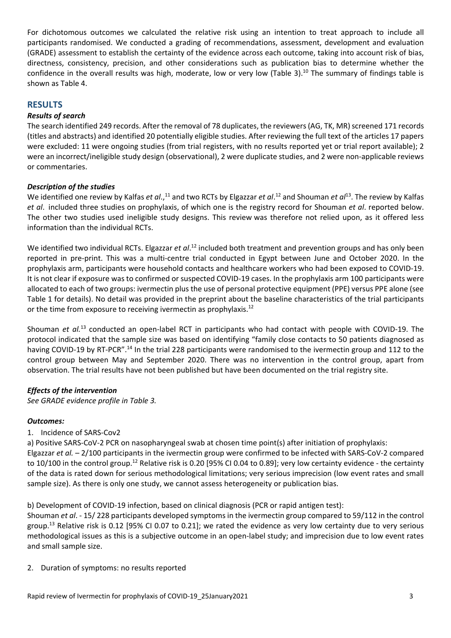For dichotomous outcomes we calculated the relative risk using an intention to treat approach to include all participants randomised. We conducted a grading of recommendations, assessment, development and evaluation (GRADE) assessment to establish the certainty of the evidence across each outcome, taking into account risk of bias, directness, consistency, precision, and other considerations such as publication bias to determine whether the confidence in the overall results was high, moderate, low or very low (Table 3).<sup>10</sup> The summary of findings table is shown as Table 4.

## **RESULTS**

## *Results of search*

The search identified 249 records. After the removal of 78 duplicates, the reviewers (AG, TK, MR) screened 171 records (titles and abstracts) and identified 20 potentially eligible studies. After reviewing the full text of the articles 17 papers were excluded: 11 were ongoing studies (from trial registers, with no results reported yet or trial report available); 2 were an incorrect/ineligible study design (observational), 2 were duplicate studies, and 2 were non-applicable reviews or commentaries.

## *Description of the studies*

We identified one review by Kalfas *et al.*,<sup>11</sup> and two RCTs by Elgazzar *et al*.<sup>12</sup> and Shouman *et al*<sup>13</sup>. The review by Kalfas *et al*. included three studies on prophylaxis, of which one is the registry record for Shouman *et al*. reported below. The other two studies used ineligible study designs. This review was therefore not relied upon, as it offered less information than the individual RCTs.

We identified two individual RCTs. Elgazzar *et al*.<sup>12</sup> included both treatment and prevention groups and has only been reported in pre-print. This was a multi-centre trial conducted in Egypt between June and October 2020. In the prophylaxis arm, participants were household contacts and healthcare workers who had been exposed to COVID‐19. It is not clear if exposure was to confirmed or suspected COVID-19 cases. In the prophylaxis arm 100 participants were allocated to each of two groups: ivermectin plus the use of personal protective equipment (PPE) versus PPE alone (see Table 1 for details). No detail was provided in the preprint about the baseline characteristics of the trial participants or the time from exposure to receiving ivermectin as prophylaxis.<sup>12</sup>

Shouman et al.<sup>13</sup> conducted an open-label RCT in participants who had contact with people with COVID-19. The protocol indicated that the sample size was based on identifying "family close contacts to 50 patients diagnosed as having COVID-19 by RT-PCR".<sup>14</sup> In the trial 228 participants were randomised to the ivermectin group and 112 to the control group between May and September 2020. There was no intervention in the control group, apart from observation. The trial results have not been published but have been documented on the trial registry site.

## *Effects of the intervention*

*See GRADE evidence profile in Table 3.* 

## *Outcomes:*

## 1. Incidence of SARS‐Cov2

a) Positive SARS-CoV-2 PCR on nasopharyngeal swab at chosen time point(s) after initiation of prophylaxis: Elgazzar *et al.* – 2/100 participants in the ivermectin group were confirmed to be infected with SARS‐CoV‐2 compared to 10/100 in the control group.<sup>12</sup> Relative risk is 0.20 [95% CI 0.04 to 0.89]; very low certainty evidence - the certainty of the data is rated down for serious methodological limitations; very serious imprecision (low event rates and small sample size). As there is only one study, we cannot assess heterogeneity or publication bias.

b) Development of COVID-19 infection, based on clinical diagnosis (PCR or rapid antigen test):

Shouman *et al*. ‐ 15/ 228 participants developed symptoms in the ivermectin group compared to 59/112 in the control group.<sup>13</sup> Relative risk is 0.12 [95% CI 0.07 to 0.21]; we rated the evidence as very low certainty due to very serious methodological issues as this is a subjective outcome in an open‐label study; and imprecision due to low event rates and small sample size.

2. Duration of symptoms: no results reported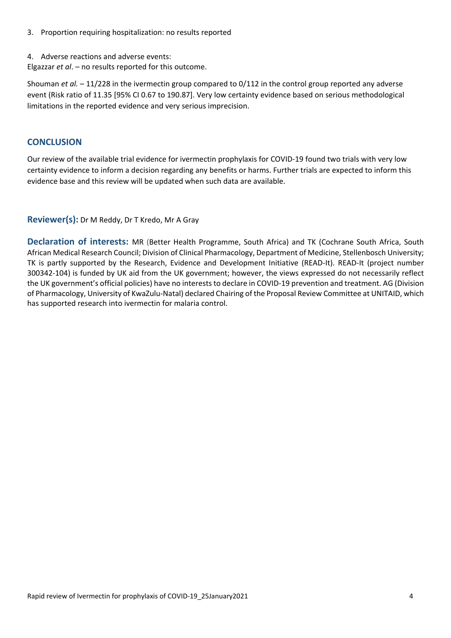- 3. Proportion requiring hospitalization: no results reported
- 4. Adverse reactions and adverse events:

Elgazzar *et al*. – no results reported for this outcome.

Shouman *et al.* – 11/228 in the ivermectin group compared to 0/112 in the control group reported any adverse event (Risk ratio of 11.35 [95% CI 0.67 to 190.87]. Very low certainty evidence based on serious methodological limitations in the reported evidence and very serious imprecision.

## **CONCLUSION**

Our review of the available trial evidence for ivermectin prophylaxis for COVID‐19 found two trials with very low certainty evidence to inform a decision regarding any benefits or harms. Further trials are expected to inform this evidence base and this review will be updated when such data are available.

## **Reviewer(s):** Dr M Reddy, Dr T Kredo, Mr A Gray

**Declaration of interests:**  MR (Better Health Programme, South Africa) and TK (Cochrane South Africa, South African Medical Research Council; Division of Clinical Pharmacology, Department of Medicine, Stellenbosch University; TK is partly supported by the Research, Evidence and Development Initiative (READ‐It). READ‐It (project number 300342‐104) is funded by UK aid from the UK government; however, the views expressed do not necessarily reflect the UK government's official policies) have no interests to declare in COVID‐19 prevention and treatment. AG (Division of Pharmacology, University of KwaZulu‐Natal) declared Chairing of the Proposal Review Committee at UNITAID, which has supported research into ivermectin for malaria control.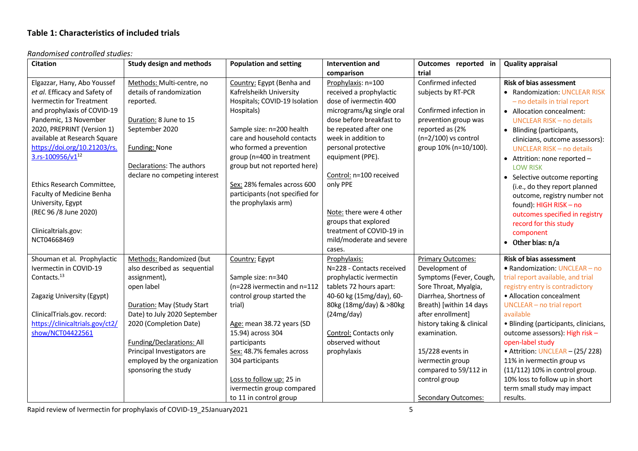## **Table 1: Characteristics of included trials**

#### *Randomised controlled studies:*

| <b>Citation</b>                 | <b>Study design and methods</b> | <b>Population and setting</b>   | Intervention and              | Outcomes reported in       | <b>Quality appraisal</b>              |
|---------------------------------|---------------------------------|---------------------------------|-------------------------------|----------------------------|---------------------------------------|
|                                 |                                 |                                 | comparison                    | trial                      |                                       |
| Elgazzar, Hany, Abo Youssef     | Methods: Multi-centre, no       | Country: Egypt (Benha and       | Prophylaxis: n=100            | Confirmed infected         | <b>Risk of bias assessment</b>        |
| et al. Efficacy and Safety of   | details of randomization        | Kafrelsheikh University         | received a prophylactic       | subjects by RT-PCR         | • Randomization: UNCLEAR RISK         |
| Ivermectin for Treatment        | reported.                       | Hospitals; COVID-19 Isolation   | dose of ivermectin 400        |                            | - no details in trial report          |
| and prophylaxis of COVID-19     |                                 | Hospitals)                      | micrograms/kg single oral     | Confirmed infection in     | • Allocation concealment:             |
| Pandemic, 13 November           | Duration: 8 June to 15          |                                 | dose before breakfast to      | prevention group was       | <b>UNCLEAR RISK - no details</b>      |
| 2020, PREPRINT (Version 1)      | September 2020                  | Sample size: n=200 health       | be repeated after one         | reported as (2%            | • Blinding (participants,             |
| available at Research Square    |                                 | care and household contacts     | week in addition to           | $(n=2/100)$ vs control     | clinicians, outcome assessors):       |
| https://doi.org/10.21203/rs.    | <b>Funding: None</b>            | who formed a prevention         | personal protective           | group 10% (n=10/100).      | <b>UNCLEAR RISK - no details</b>      |
| 3.rs-100956/v1 <sup>12</sup>    |                                 | group (n=400 in treatment       | equipment (PPE).              |                            | • Attrition: none reported -          |
|                                 | Declarations: The authors       | group but not reported here)    |                               |                            | <b>LOW RISK</b>                       |
|                                 | declare no competing interest   |                                 | Control: n=100 received       |                            | • Selective outcome reporting         |
| Ethics Research Committee,      |                                 | Sex: 28% females across 600     | only PPE                      |                            | (i.e., do they report planned         |
| Faculty of Medicine Benha       |                                 | participants (not specified for |                               |                            | outcome, registry number not          |
| University, Egypt               |                                 | the prophylaxis arm)            |                               |                            | found): HIGH RISK - no                |
| (REC 96 /8 June 2020)           |                                 |                                 | Note: there were 4 other      |                            | outcomes specified in registry        |
|                                 |                                 |                                 | groups that explored          |                            | record for this study                 |
| Clinicaltrials.gov:             |                                 |                                 | treatment of COVID-19 in      |                            | component                             |
| NCT04668469                     |                                 |                                 | mild/moderate and severe      |                            | $\bullet$ Other bias: $n/a$           |
|                                 |                                 |                                 | cases.                        |                            |                                       |
| Shouman et al. Prophylactic     | Methods: Randomized (but        | Country: Egypt                  | Prophylaxis:                  | <b>Primary Outcomes:</b>   | <b>Risk of bias assessment</b>        |
| Ivermectin in COVID-19          | also described as sequential    |                                 | N=228 - Contacts received     | Development of             | · Randomization: UNCLEAR - no         |
| Contacts. <sup>13</sup>         | assignment),                    | Sample size: n=340              | prophylactic ivermectin       | Symptoms (Fever, Cough,    | trial report available, and trial     |
|                                 | open label                      | (n=228 ivermectin and n=112     | tablets 72 hours apart:       | Sore Throat, Myalgia,      | registry entry is contradictory       |
| Zagazig University (Egypt)      |                                 | control group started the       | 40-60 kg (15mg/day), 60-      | Diarrhea, Shortness of     | • Allocation concealment              |
|                                 | Duration: May (Study Start      | trial)                          | 80kg (18mg/day) & >80kg       | Breath) [within 14 days    | UNCLEAR - no trial report             |
| ClinicalTrials.gov. record:     | Date) to July 2020 September    |                                 | (24mg/day)                    | after enrollment]          | available                             |
| https://clinicaltrials.gov/ct2/ | 2020 (Completion Date)          | Age: mean 38.72 years (SD       |                               | history taking & clinical  | • Blinding (participants, clinicians, |
| show/NCT04422561                |                                 | 15.94) across 304               | <b>Control: Contacts only</b> | examination.               | outcome assessors): High risk -       |
|                                 | Funding/Declarations: All       | participants                    | observed without              |                            | open-label study                      |
|                                 | Principal Investigators are     | Sex: 48.7% females across       | prophylaxis                   | 15/228 events in           | • Attrition: UNCLEAR - (25/228)       |
|                                 | employed by the organization    | 304 participants                |                               | ivermectin group           | 11% in ivermectin group vs            |
|                                 | sponsoring the study            |                                 |                               | compared to 59/112 in      | (11/112) 10% in control group.        |
|                                 |                                 | Loss to follow up: 25 in        |                               | control group              | 10% loss to follow up in short        |
|                                 |                                 | ivermectin group compared       |                               |                            | term small study may impact           |
|                                 |                                 | to 11 in control group          |                               | <b>Secondary Outcomes:</b> | results.                              |

Rapid review of Ivermectin for prophylaxis of COVID‐19\_25January2021 5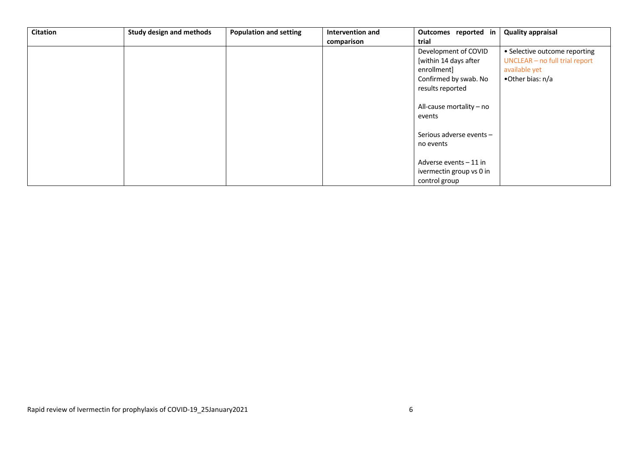| <b>Citation</b> | <b>Study design and methods</b> | <b>Population and setting</b> | Intervention and | Outcomes reported in     | <b>Quality appraisal</b>       |
|-----------------|---------------------------------|-------------------------------|------------------|--------------------------|--------------------------------|
|                 |                                 |                               | comparison       | trial                    |                                |
|                 |                                 |                               |                  | Development of COVID     | • Selective outcome reporting  |
|                 |                                 |                               |                  | [within 14 days after    | UNCLEAR - no full trial report |
|                 |                                 |                               |                  | enrollment]              | available yet                  |
|                 |                                 |                               |                  | Confirmed by swab. No    | •Other bias: n/a               |
|                 |                                 |                               |                  | results reported         |                                |
|                 |                                 |                               |                  |                          |                                |
|                 |                                 |                               |                  | All-cause mortality - no |                                |
|                 |                                 |                               |                  | events                   |                                |
|                 |                                 |                               |                  |                          |                                |
|                 |                                 |                               |                  | Serious adverse events-  |                                |
|                 |                                 |                               |                  | no events                |                                |
|                 |                                 |                               |                  |                          |                                |
|                 |                                 |                               |                  | Adverse events - 11 in   |                                |
|                 |                                 |                               |                  | ivermectin group vs 0 in |                                |
|                 |                                 |                               |                  | control group            |                                |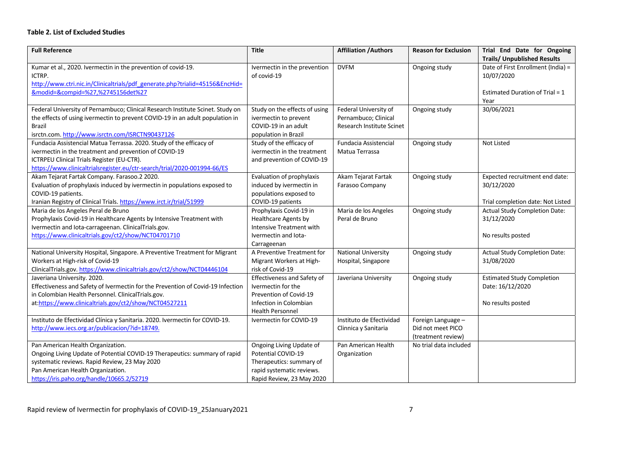#### **Table 2. List of Excluded Studies**

| <b>Full Reference</b>                                                                                                                                                                                                                                    | <b>Title</b>                                                                                                                         | <b>Affiliation / Authors</b>                                               | <b>Reason for Exclusion</b>                                   | Trial End Date for Ongoing<br><b>Trails/ Unpublished Results</b>                            |
|----------------------------------------------------------------------------------------------------------------------------------------------------------------------------------------------------------------------------------------------------------|--------------------------------------------------------------------------------------------------------------------------------------|----------------------------------------------------------------------------|---------------------------------------------------------------|---------------------------------------------------------------------------------------------|
| Kumar et al., 2020. Ivermectin in the prevention of covid-19.<br>ICTRP.<br>http://www.ctri.nic.in/Clinicaltrials/pdf generate.php?trialid=45156&EncHid=<br>&modid=&compid=%27,%2745156det%27                                                             | Ivermectin in the prevention<br>of covid-19                                                                                          | <b>DVFM</b>                                                                | Ongoing study                                                 | Date of First Enrollment (India) =<br>10/07/2020<br>Estimated Duration of Trial = 1<br>Year |
| Federal University of Pernambuco; Clinical Research Institute Scinet. Study on<br>the effects of using ivermectin to prevent COVID-19 in an adult population in<br><b>Brazil</b><br>isrctn.com.http://www.isrctn.com/ISRCTN90437126                      | Study on the effects of using<br>ivermectin to prevent<br>COVID-19 in an adult<br>population in Brazil                               | Federal University of<br>Pernambuco; Clinical<br>Research Institute Scinet | Ongoing study                                                 | 30/06/2021                                                                                  |
| Fundacia Assistencial Matua Terrassa. 2020. Study of the efficacy of<br>ivermectin in the treatment and prevention of COVID-19<br>ICTRPEU Clinical Trials Register (EU-CTR).<br>https://www.clinicaltrialsregister.eu/ctr-search/trial/2020-001994-66/ES | Study of the efficacy of<br>ivermectin in the treatment<br>and prevention of COVID-19                                                | Fundacia Assistencial<br>Matua Terrassa                                    | Ongoing study                                                 | <b>Not Listed</b>                                                                           |
| Akam Tejarat Fartak Company. Farasoo.2 2020.<br>Evaluation of prophylaxis induced by ivermectin in populations exposed to<br>COVID-19 patients.<br>Iranian Registry of Clinical Trials. https://www.irct.ir/trial/51999                                  | Evaluation of prophylaxis<br>induced by ivermectin in<br>populations exposed to<br>COVID-19 patients                                 | Akam Tejarat Fartak<br>Farasoo Company                                     | Ongoing study                                                 | Expected recruitment end date:<br>30/12/2020<br>Trial completion date: Not Listed           |
| Maria de los Angeles Peral de Bruno<br>Prophylaxis Covid-19 in Healthcare Agents by Intensive Treatment with<br>Ivermectin and Iota-carrageenan. ClinicalTrials.gov.<br>https://www.clinicaltrials.gov/ct2/show/NCT04701710                              | Prophylaxis Covid-19 in<br>Healthcare Agents by<br>Intensive Treatment with<br>Ivermectin and Iota-<br>Carrageenan                   | Maria de los Angeles<br>Peral de Bruno                                     | Ongoing study                                                 | <b>Actual Study Completion Date:</b><br>31/12/2020<br>No results posted                     |
| National University Hospital, Singapore. A Preventive Treatment for Migrant<br>Workers at High-risk of Covid-19<br>ClinicalTrials.gov.https://www.clinicaltrials.gov/ct2/show/NCT04446104                                                                | A Preventive Treatment for<br>Migrant Workers at High-<br>risk of Covid-19                                                           | <b>National University</b><br>Hospital, Singapore                          | Ongoing study                                                 | <b>Actual Study Completion Date:</b><br>31/08/2020                                          |
| Javeriana University. 2020.<br>Effectiveness and Safety of Ivermectin for the Prevention of Covid-19 Infection<br>in Colombian Health Personnel. ClinicalTrials.gov.<br>at:https://www.clinicaltrials.gov/ct2/show/NCT04527211                           | Effectiveness and Safety of<br>Ivermectin for the<br>Prevention of Covid-19<br>Infection in Colombian<br><b>Health Personnel</b>     | Javeriana University                                                       | Ongoing study                                                 | <b>Estimated Study Completion</b><br>Date: 16/12/2020<br>No results posted                  |
| Instituto de Efectividad Clínica y Sanitaria. 2020. Ivermectin for COVID-19.<br>http://www.iecs.org.ar/publicacion/?id=18749.                                                                                                                            | Ivermectin for COVID-19                                                                                                              | Instituto de Efectividad<br>Clinnica y Sanitaria                           | Foreign Language -<br>Did not meet PICO<br>(treatment review) |                                                                                             |
| Pan American Health Organization.<br>Ongoing Living Update of Potential COVID-19 Therapeutics: summary of rapid<br>systematic reviews. Rapid Review, 23 May 2020<br>Pan American Health Organization.<br>https://iris.paho.org/handle/10665.2/52719      | Ongoing Living Update of<br>Potential COVID-19<br>Therapeutics: summary of<br>rapid systematic reviews.<br>Rapid Review, 23 May 2020 | Pan American Health<br>Organization                                        | No trial data included                                        |                                                                                             |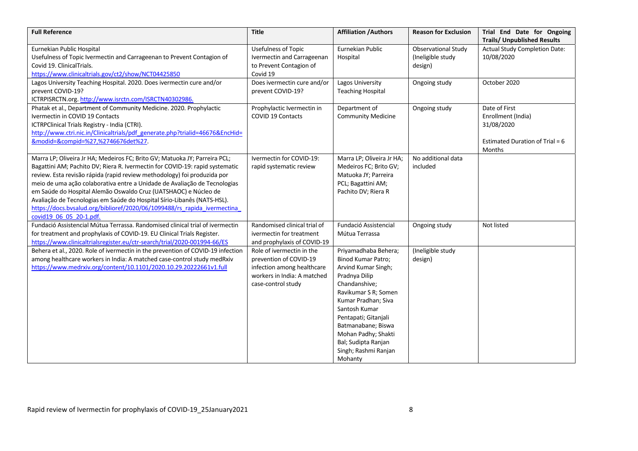| <b>Full Reference</b>                                                                                                                                                                                                                                                                                                                                                                                                                                                                                                                                                    | <b>Title</b>                                                                                                                           | <b>Affiliation / Authors</b>                                                                                                                                                                                                                                                                       | <b>Reason for Exclusion</b>                                | Trial End Date for Ongoing<br><b>Trails/ Unpublished Results</b>                                 |
|--------------------------------------------------------------------------------------------------------------------------------------------------------------------------------------------------------------------------------------------------------------------------------------------------------------------------------------------------------------------------------------------------------------------------------------------------------------------------------------------------------------------------------------------------------------------------|----------------------------------------------------------------------------------------------------------------------------------------|----------------------------------------------------------------------------------------------------------------------------------------------------------------------------------------------------------------------------------------------------------------------------------------------------|------------------------------------------------------------|--------------------------------------------------------------------------------------------------|
| Eurnekian Public Hospital<br>Usefulness of Topic Ivermectin and Carrageenan to Prevent Contagion of<br>Covid 19. ClinicalTrials.<br>https://www.clinicaltrials.gov/ct2/show/NCT04425850                                                                                                                                                                                                                                                                                                                                                                                  | Usefulness of Topic<br>Ivermectin and Carrageenan<br>to Prevent Contagion of<br>Covid 19                                               | Eurnekian Public<br>Hospital                                                                                                                                                                                                                                                                       | <b>Observational Study</b><br>(Ineligible study<br>design) | <b>Actual Study Completion Date:</b><br>10/08/2020                                               |
| Lagos University Teaching Hospital. 2020. Does ivermectin cure and/or<br>prevent COVID-19?<br>ICTRPISRCTN.org.http://www.isrctn.com/ISRCTN40302986.                                                                                                                                                                                                                                                                                                                                                                                                                      | Does ivermectin cure and/or<br>prevent COVID-19?                                                                                       | Lagos University<br><b>Teaching Hospital</b>                                                                                                                                                                                                                                                       | Ongoing study                                              | October 2020                                                                                     |
| Phatak et al., Department of Community Medicine. 2020. Prophylactic<br>Ivermectin in COVID 19 Contacts<br>ICTRPClinical Trials Registry - India (CTRI).<br>http://www.ctri.nic.in/Clinicaltrials/pdf generate.php?trialid=46676&EncHid=<br>&modid=&compid=%27,%2746676det%27.                                                                                                                                                                                                                                                                                            | Prophylactic Ivermectin in<br><b>COVID 19 Contacts</b>                                                                                 | Department of<br><b>Community Medicine</b>                                                                                                                                                                                                                                                         | Ongoing study                                              | Date of First<br>Enrollment (India)<br>31/08/2020<br>Estimated Duration of Trial = $6$<br>Months |
| Marra LP; Oliveira Jr HA; Medeiros FC; Brito GV; Matuoka JY; Parreira PCL;<br>Bagattini AM; Pachito DV; Riera R. Ivermectin for COVID-19: rapid systematic<br>review. Esta revisão rápida (rapid review methodology) foi produzida por<br>meio de uma ação colaborativa entre a Unidade de Avaliação de Tecnologias<br>em Saúde do Hospital Alemão Oswaldo Cruz (UATSHAOC) e Núcleo de<br>Avaliação de Tecnologias em Saúde do Hospital Sírio-Libanês (NATS-HSL).<br>https://docs.bvsalud.org/biblioref/2020/06/1099488/rs rapida ivermectina<br>covid19 06 05 20-1.pdf. | Ivermectin for COVID-19:<br>rapid systematic review                                                                                    | Marra LP; Oliveira Jr HA;<br>Medeiros FC; Brito GV;<br>Matuoka JY; Parreira<br>PCL; Bagattini AM;<br>Pachito DV; Riera R                                                                                                                                                                           | No additional data<br>included                             |                                                                                                  |
| Fundació Assistencial Mútua Terrassa. Randomised clinical trial of ivermectin<br>for treatment and prophylaxis of COVID-19. EU Clinical Trials Register.<br>https://www.clinicaltrialsregister.eu/ctr-search/trial/2020-001994-66/ES                                                                                                                                                                                                                                                                                                                                     | Randomised clinical trial of<br>ivermectin for treatment<br>and prophylaxis of COVID-19                                                | Fundació Assistencial<br>Mútua Terrassa                                                                                                                                                                                                                                                            | Ongoing study                                              | Not listed                                                                                       |
| Behera et al., 2020. Role of ivermectin in the prevention of COVID-19 infection<br>among healthcare workers in India: A matched case-control study medRxiv<br>https://www.medrxiv.org/content/10.1101/2020.10.29.20222661v1.full                                                                                                                                                                                                                                                                                                                                         | Role of ivermectin in the<br>prevention of COVID-19<br>infection among healthcare<br>workers in India: A matched<br>case-control study | Priyamadhaba Behera;<br>Binod Kumar Patro;<br>Arvind Kumar Singh;<br>Pradnya Dilip<br>Chandanshive;<br>Ravikumar S R; Somen<br>Kumar Pradhan; Siva<br>Santosh Kumar<br>Pentapati; Gitanjali<br>Batmanabane; Biswa<br>Mohan Padhy; Shakti<br>Bal; Sudipta Ranjan<br>Singh; Rashmi Ranjan<br>Mohanty | (Ineligible study<br>design)                               |                                                                                                  |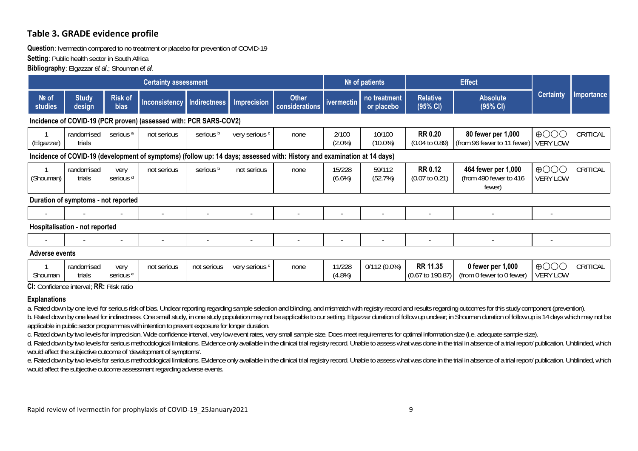## **Table 3. GRADE evidence profile**

### **Question**: Ivermectin compared to no treatment or placebo for prevention of COVID-19

**Setting**: Public health sector in South Africa

**Bibliography**: Elgazzar *et al*.; Shouman *et al.*

|                  |                                                                                                                         |                               | <b>Certainty assessment</b>                                       |             |                          |                                |                     | Nº of patients             |                                                | <b>Effect</b>                                           |                                                      |            |
|------------------|-------------------------------------------------------------------------------------------------------------------------|-------------------------------|-------------------------------------------------------------------|-------------|--------------------------|--------------------------------|---------------------|----------------------------|------------------------------------------------|---------------------------------------------------------|------------------------------------------------------|------------|
| Nº of<br>studies | <b>Study</b><br>design                                                                                                  | <b>Risk of</b><br><b>bias</b> | Inconsistency   Indirectness                                      |             | <b>Imprecision</b>       | <b>Other</b><br>considerations | ivermectin          | no treatment<br>or placebo | <b>Relative</b><br>(95% CI)                    | <b>Absolute</b><br>(95% CI)                             | <b>Certainty</b>                                     | Importance |
|                  |                                                                                                                         |                               | Incidence of COVID-19 (PCR proven) (assessed with: PCR SARS-COV2) |             |                          |                                |                     |                            |                                                |                                                         |                                                      |            |
| (Elgazzar)       | randomised<br>trials                                                                                                    | serious <sup>a</sup>          | not serious                                                       | serious b   | very serious c           | none                           | 2/100<br>$(2.0\%)$  | 10/100<br>$(10.0\%)$       | <b>RR 0.20</b><br>$(0.04 \text{ to } 0.89)$    | 80 fewer per 1,000<br>(from 96 fewer to 11 fewer)       | $\bigoplus$ $\bigodot$ $\bigodot$<br><b>VERY LOW</b> | CRITICAL   |
|                  | Incidence of COVID-19 (development of symptoms) (follow up: 14 days; assessed with: History and examination at 14 days) |                               |                                                                   |             |                          |                                |                     |                            |                                                |                                                         |                                                      |            |
| (Shouman)        | randomised<br>trials                                                                                                    | very<br>serious <sup>d</sup>  | not serious                                                       | serious b   | not serious              | none                           | 15/228<br>$(6.6\%)$ | 59/112<br>(52.7%)          | <b>RR 0.12</b><br>$(0.07 \text{ to } 0.21)$    | 464 fewer per 1,000<br>(from 490 fewer to 416<br>fewer) | $\bigoplus$ $\bigodot$ $\bigodot$<br><b>VERY LOW</b> | CRITICAL   |
|                  | Duration of symptoms - not reported                                                                                     |                               |                                                                   |             |                          |                                |                     |                            |                                                |                                                         |                                                      |            |
|                  |                                                                                                                         |                               |                                                                   |             |                          |                                |                     |                            |                                                |                                                         |                                                      |            |
|                  | <b>Hospitalisation - not reported</b>                                                                                   |                               |                                                                   |             |                          |                                |                     |                            |                                                |                                                         |                                                      |            |
|                  |                                                                                                                         |                               |                                                                   |             | $\overline{\phantom{a}}$ |                                |                     |                            |                                                |                                                         | $\overline{\phantom{0}}$                             |            |
| Adverse events   |                                                                                                                         |                               |                                                                   |             |                          |                                |                     |                            |                                                |                                                         |                                                      |            |
| Shouman          | randomised<br>trials<br>CI. Confidence interval. DD. Dick ratio                                                         | very<br>serious <sup>e</sup>  | not serious                                                       | not serious | very serious c           | none                           | 11/228<br>(4.8%)    | $0/112(0.0\%)$             | <b>RR 11.35</b><br>$(0.67 \text{ to } 190.87)$ | 0 fewer per 1,000<br>(from 0 fewer to 0 fewer)          | $\bigoplus$ $\bigodot$ $\bigodot$<br><b>VERY LOW</b> | CRITICAL   |

## **CI:** Confidence interval; **RR:** Risk ratio

### **Explanations**

a. Rated down by one level for serious risk of bias. Unclear reporting regarding sample selection and blinding, and mismatch with registry record and results regarding outcomes for this study component (prevention). b. Rated down by one level for indirectness. One small study, in one study population may not be applicable to our setting. Elgazzar duration of follow up unclear; in Shouman duration of follow up is 14 days which may not applicable in public sector programmes with intention to prevent exposure for longer duration.

c. Rated down by two levels for imprecision. Wide confidence interval, very low event rates, very small sample size. Does meet requirements for optimal information size (i.e. adequate sample size).

d. Rated down by two levels for serious methodological limitations. Evidence only available in the clinical trial registry record. Unable to assess what was done in the trial in absence of a trial report/ publication. Unbl would affect the subjective outcome of 'development of symptoms'.

e. Rated down by two levels for serious methodological limitations. Evidence only available in the clinical trial registry record. Unable to assess what was done in the trial in absence of a trial report/ publication. Unbl would affect the subjective outcome assessment regarding adverse events.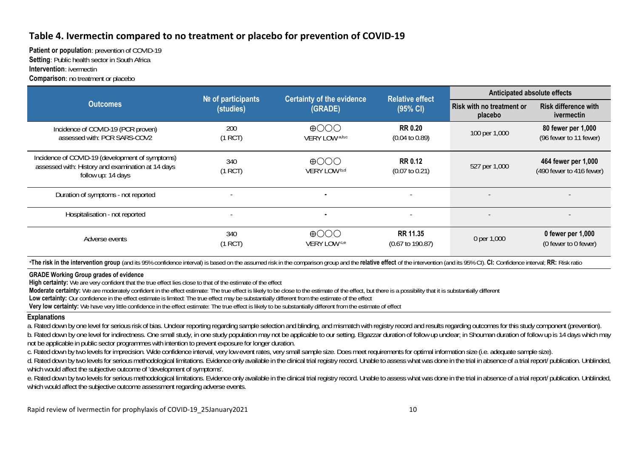## **Table 4. Ivermectin compared to no treatment or placebo for prevention of COVID‐19**

**Patient or population:** prevention of COVID-19 **Setting**: Public health sector in South Africa **Intervention**: ivermectin

**Comparison**: no treatment or placebo

|                                                                                                                            | <b>Certainty of the evidence</b><br>$N2$ of participants<br>(GRADE)<br>(studies) |                                                          | <b>Relative effect</b>                         | Anticipated absolute effects                |                                                  |  |
|----------------------------------------------------------------------------------------------------------------------------|----------------------------------------------------------------------------------|----------------------------------------------------------|------------------------------------------------|---------------------------------------------|--------------------------------------------------|--|
| <b>Outcomes</b>                                                                                                            |                                                                                  |                                                          | (95% CI)                                       | <b>Risk with no treatment or</b><br>placebo | <b>Risk difference with</b><br><i>ivermectin</i> |  |
| Incidence of COVID-19 (PCR proven)<br>assessed with: PCR SARS-COV2                                                         | 200<br>(1 RCT)                                                                   | $\bigoplus$ $\bigodot$ $\bigodot$<br>VERY LOW a,b,c      | <b>RR 0.20</b><br>$(0.04 \text{ to } 0.89)$    | 100 per 1,000                               | 80 fewer per 1,000<br>(96 fewer to 11 fewer)     |  |
| Incidence of COVID-19 (development of symptoms)<br>assessed with: History and examination at 14 days<br>follow up: 14 days | 340<br>(1 RCT)                                                                   | $\bigoplus$ $\bigodot$ $\bigodot$<br>VERY LOW b,d        | <b>RR 0.12</b><br>$(0.07 \text{ to } 0.21)$    | 527 per 1,000                               | 464 fewer per 1,000<br>(490 fewer to 416 fewer)  |  |
| Duration of symptoms - not reported                                                                                        |                                                                                  | ٠                                                        | $\overline{\phantom{a}}$                       |                                             |                                                  |  |
| Hospitalisation - not reported                                                                                             |                                                                                  | ٠                                                        | $\overline{\phantom{a}}$                       |                                             |                                                  |  |
| Adverse events                                                                                                             | 340<br>(1 RCT)                                                                   | $\bigoplus$ $\bigodot$ $\bigodot$<br><b>VERY LOW</b> c,e | <b>RR 11.35</b><br>$(0.67 \text{ to } 190.87)$ | 0 per 1,000                                 | 0 fewer per $1,000$<br>(0 fewer to 0 fewer)      |  |

\*The risk in the intervention group (and its 95% confidence interval) is based on the assumed risk in the comparison group and the relative effect of the intervention (and its 95% CI). CI: Confidence interval; RR: Risk rat

### **GRADE Working Group grades of evidence**

**High certainty:** We are very confident that the true effect lies close to that of the estimate of the effect

**Moderate certainty:** We are moderately confident in the effect estimate: The true effect is likely to be close to the estimate of the effect, but there is a possibility that it is substantially different

**Low certainty:** Our confidence in the effect estimate is limited: The true effect may be substantially different from the estimate of the effect

**Very low certainty:** We have very little confidence in the effect estimate: The true effect is likely to be substantially different from the estimate of effect

### **Explanations**

a. Rated down by one level for serious risk of bias. Unclear reporting regarding sample selection and blinding, and mismatch with registry record and results regarding outcomes for this study component (prevention). b. Rated down by one level for indirectness. One small study, in one study population may not be applicable to our setting. Elgazzar duration of follow up unclear; in Shouman duration of follow up is 14 days which may not be applicable in public sector programmes with intention to prevent exposure for longer duration.

c. Rated down by two levels for imprecision. Wide confidence interval, very low event rates, very small sample size. Does meet requirements for optimal information size (i.e. adequate sample size).

d. Rated down by two levels for serious methodological limitations. Evidence only available in the clinical trial registry record. Unable to assess what was done in the trial in absence of a trial report/ publication. Unbl which would affect the subjective outcome of 'development of symptoms'.

e. Rated down by two levels for serious methodological limitations. Evidence only available in the clinical trial registry record. Unable to assess what was done in the trial in absence of a trial report/ publication. Unbl which would affect the subjective outcome assessment regarding adverse events.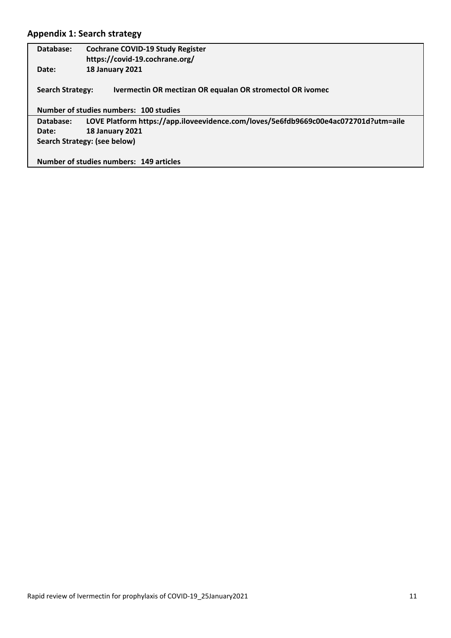## **Appendix 1: Search strategy**

| Database:                    | <b>Cochrane COVID-19 Study Register</b><br>https://covid-19.cochrane.org/           |  |  |  |
|------------------------------|-------------------------------------------------------------------------------------|--|--|--|
| Date:                        | <b>18 January 2021</b>                                                              |  |  |  |
| <b>Search Strategy:</b>      | Ivermectin OR mectizan OR equalan OR stromectol OR ivomec                           |  |  |  |
|                              | Number of studies numbers: 100 studies                                              |  |  |  |
| Database:                    | LOVE Platform https://app.iloveevidence.com/loves/5e6fdb9669c00e4ac072701d?utm=aile |  |  |  |
| Date:                        | <b>18 January 2021</b>                                                              |  |  |  |
| Search Strategy: (see below) |                                                                                     |  |  |  |
|                              | Number of studies numbers: 149 articles                                             |  |  |  |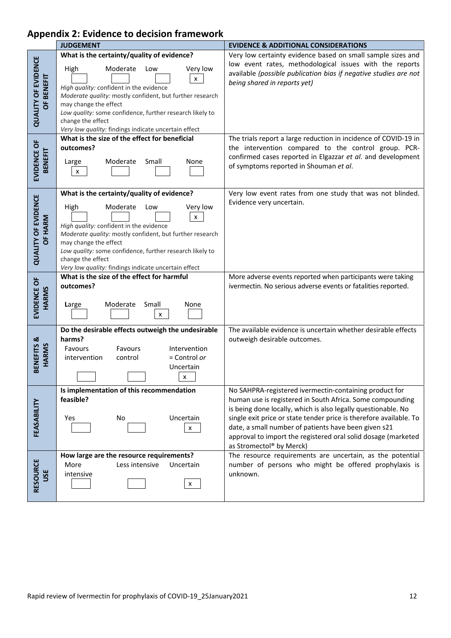## **Appendix 2: Evidence to decision framework**

|                                          | <b>JUDGEMENT</b>                                                                                                                                                                                                                                                                                                                                                | <b>EVIDENCE &amp; ADDITIONAL CONSIDERATIONS</b>                                                                                                                                                                                                                                                                                                                                                                 |
|------------------------------------------|-----------------------------------------------------------------------------------------------------------------------------------------------------------------------------------------------------------------------------------------------------------------------------------------------------------------------------------------------------------------|-----------------------------------------------------------------------------------------------------------------------------------------------------------------------------------------------------------------------------------------------------------------------------------------------------------------------------------------------------------------------------------------------------------------|
| <b>QUALITY OF EVIDENCE</b><br>OF BENEFIT | What is the certainty/quality of evidence?<br>High<br>Moderate<br>Very low<br>Low<br>x<br>High quality: confident in the evidence<br>Moderate quality: mostly confident, but further research<br>may change the effect<br>Low quality: some confidence, further research likely to<br>change the effect<br>Very low quality: findings indicate uncertain effect | Very low certainty evidence based on small sample sizes and<br>low event rates, methodological issues with the reports<br>available (possible publication bias if negative studies are not<br>being shared in reports yet)                                                                                                                                                                                      |
| EVIDENCE OF<br><b>BENEFIT</b>            | What is the size of the effect for beneficial<br>outcomes?<br>Moderate<br>Small<br>Large<br>None<br>$\pmb{\times}$                                                                                                                                                                                                                                              | The trials report a large reduction in incidence of COVID-19 in<br>the intervention compared to the control group. PCR-<br>confirmed cases reported in Elgazzar et al. and development<br>of symptoms reported in Shouman et al.                                                                                                                                                                                |
| <b>QUALITY OF EVIDENCE</b><br>OF HARM    | What is the certainty/quality of evidence?<br>High<br>Moderate<br>Very low<br>Low<br>x<br>High quality: confident in the evidence<br>Moderate quality: mostly confident, but further research<br>may change the effect<br>Low quality: some confidence, further research likely to<br>change the effect<br>Very low quality: findings indicate uncertain effect | Very low event rates from one study that was not blinded.<br>Evidence very uncertain.                                                                                                                                                                                                                                                                                                                           |
| EVIDENCE OF<br>HARMS                     | What is the size of the effect for harmful<br>outcomes?<br>Small<br>Moderate<br>None<br>Large<br>X                                                                                                                                                                                                                                                              | More adverse events reported when participants were taking<br>ivermectin. No serious adverse events or fatalities reported.                                                                                                                                                                                                                                                                                     |
| BENEFITS &<br>HARMS                      | Do the desirable effects outweigh the undesirable<br>harms?<br>Favours<br>Favours<br>Intervention<br>$=$ Control or<br>intervention<br>control<br>Uncertain<br>$\pmb{\mathsf{x}}$                                                                                                                                                                               | The available evidence is uncertain whether desirable effects<br>outweigh desirable outcomes.                                                                                                                                                                                                                                                                                                                   |
| FEASABILITY                              | Is implementation of this recommendation<br>feasible?<br>Uncertain<br>No<br>Yes<br>x                                                                                                                                                                                                                                                                            | No SAHPRA-registered ivermectin-containing product for<br>human use is registered in South Africa. Some compounding<br>is being done locally, which is also legally questionable. No<br>single exit price or state tender price is therefore available. To<br>date, a small number of patients have been given s21<br>approval to import the registered oral solid dosage (marketed<br>as Stromectol® by Merck) |
| RESOURCE<br>USE                          | How large are the resource requirements?<br>Less intensive<br>More<br>Uncertain<br>intensive<br>X                                                                                                                                                                                                                                                               | The resource requirements are uncertain, as the potential<br>number of persons who might be offered prophylaxis is<br>unknown.                                                                                                                                                                                                                                                                                  |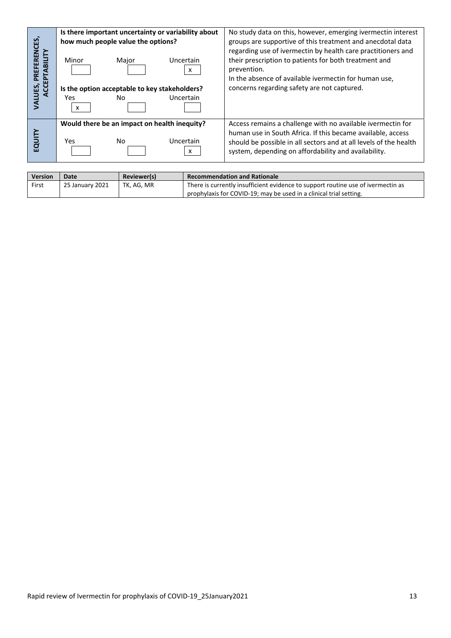| CES,                                         | Is there important uncertainty or variability about<br>how much people value the options?                                                 | No study data on this, however, emerging ivermectin interest<br>groups are supportive of this treatment and anecdotal data                                                                                                                              |
|----------------------------------------------|-------------------------------------------------------------------------------------------------------------------------------------------|---------------------------------------------------------------------------------------------------------------------------------------------------------------------------------------------------------------------------------------------------------|
| <b>REN</b><br>È<br>ᅙ<br>ॡ<br>VALUES,<br>ACCI | Uncertain<br>Minor<br>Major<br>x<br>Is the option acceptable to key stakeholders?<br>Uncertain<br>No.<br>Yes<br>$\boldsymbol{\mathsf{x}}$ | regarding use of ivermectin by health care practitioners and<br>their prescription to patients for both treatment and<br>prevention.<br>In the absence of available ivermectin for human use,<br>concerns regarding safety are not captured.            |
| EQUIT                                        | Would there be an impact on health inequity?<br>No.<br>Uncertain<br><b>Yes</b><br>x                                                       | Access remains a challenge with no available ivermectin for<br>human use in South Africa. If this became available, access<br>should be possible in all sectors and at all levels of the health<br>system, depending on affordability and availability. |

| <b>Version</b> | Date            | Reviewer(s) | <b>Recommendation and Rationale</b>                                              |
|----------------|-----------------|-------------|----------------------------------------------------------------------------------|
| First          | 25 January 2021 | TK. AG. MR  | There is currently insufficient evidence to support routine use of ivermectin as |
|                |                 |             | prophylaxis for COVID-19; may be used in a clinical trial setting.               |